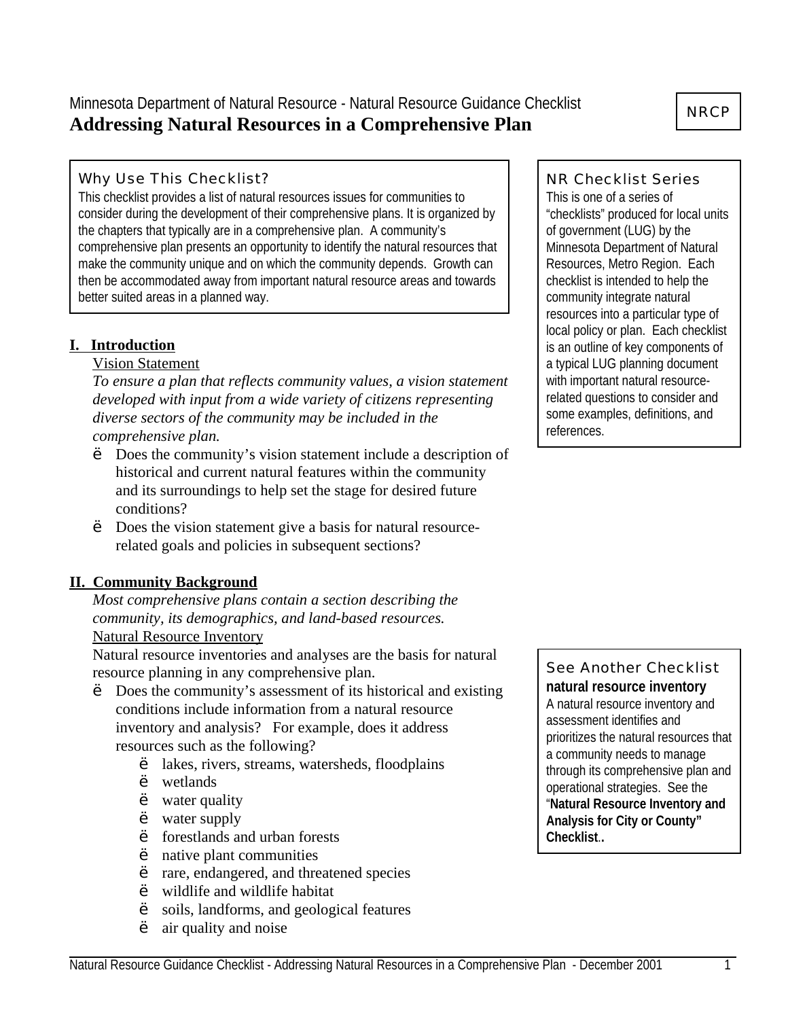# Minnesota Department of Natural Resource - Natural Resource Guidance Checklist **Addressing Natural Resources in a Comprehensive Plan**

### Why Use This Checklist?

This checklist provides a list of natural resources issues for communities to consider during the development of their comprehensive plans. It is organized by the chapters that typically are in a comprehensive plan. A community's comprehensive plan presents an opportunity to identify the natural resources that make the community unique and on which the community depends. Growth can then be accommodated away from important natural resource areas and towards better suited areas in a planned way.

## **I. Introduction**

#### Vision Statement

*To ensure a plan that reflects community values, a vision statement developed with input from a wide variety of citizens representing diverse sectors of the community may be included in the comprehensive plan.*

- Does the community's vision statement include a description of historical and current natural features within the community and its surroundings to help set the stage for desired future conditions?
- ' Does the vision statement give a basis for natural resourcerelated goals and policies in subsequent sections?

## **II. Community Background**

*Most comprehensive plans contain a section describing the community, its demographics, and land-based resources.* Natural Resource Inventory

Natural resource inventories and analyses are the basis for natural resource planning in any comprehensive plan.

- Does the community's assessment of its historical and existing conditions include information from a natural resource inventory and analysis? For example, does it address resources such as the following?
	- ' lakes, rivers, streams, watersheds, floodplains
	- wetlands
	- ' water quality
	- water supply
	- ' forestlands and urban forests
	- ' native plant communities
	- ' rare, endangered, and threatened species
	- ' wildlife and wildlife habitat
	- ' soils, landforms, and geological features
	- ' air quality and noise

### NR Checklist Series

This is one of a series of "checklists" produced for local units of government (LUG) by the Minnesota Department of Natural Resources, Metro Region. Each checklist is intended to help the community integrate natural resources into a particular type of local policy or plan. Each checklist is an outline of key components of a typical LUG planning document with important natural resourcerelated questions to consider and some examples, definitions, and references.

# See Another Checklist **natural resource inventory**

A natural resource inventory and assessment identifies and prioritizes the natural resources that a community needs to manage through its comprehensive plan and operational strategies. See the "**Natural Resource Inventory and Analysis for City or County" Checklist**.**.**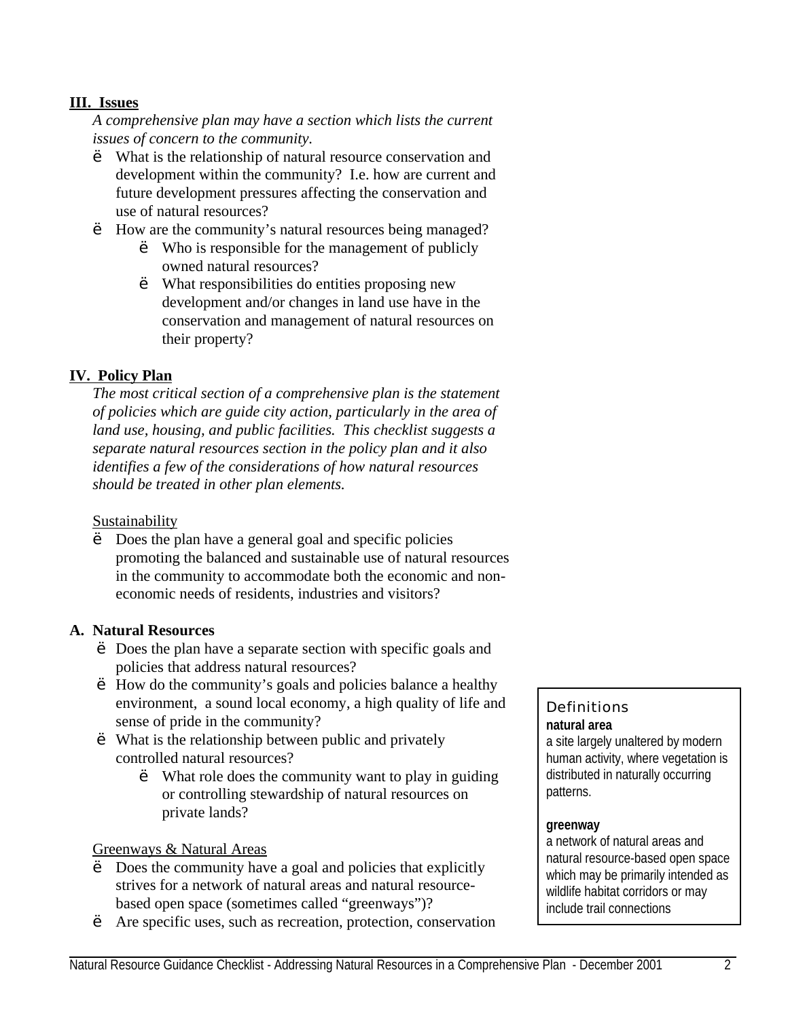### **III. Issues**

*A comprehensive plan may have a section which lists the current issues of concern to the community.*

- What is the relationship of natural resource conservation and development within the community? I.e. how are current and future development pressures affecting the conservation and use of natural resources?
- ' How are the community's natural resources being managed?
	- ' Who is responsible for the management of publicly owned natural resources?
	- ' What responsibilities do entities proposing new development and/or changes in land use have in the conservation and management of natural resources on their property?

## **IV. Policy Plan**

*The most critical section of a comprehensive plan is the statement of policies which are guide city action, particularly in the area of land use, housing, and public facilities. This checklist suggests a separate natural resources section in the policy plan and it also identifies a few of the considerations of how natural resources should be treated in other plan elements.* 

#### **Sustainability**

Does the plan have a general goal and specific policies promoting the balanced and sustainable use of natural resources in the community to accommodate both the economic and noneconomic needs of residents, industries and visitors?

#### **A. Natural Resources**

- Does the plan have a separate section with specific goals and policies that address natural resources?
- ' How do the community's goals and policies balance a healthy environment, a sound local economy, a high quality of life and sense of pride in the community?
- ' What is the relationship between public and privately controlled natural resources?
	- ' What role does the community want to play in guiding or controlling stewardship of natural resources on private lands?

#### Greenways & Natural Areas

- Does the community have a goal and policies that explicitly strives for a network of natural areas and natural resourcebased open space (sometimes called "greenways")?
- Are specific uses, such as recreation, protection, conservation

# **Definitions natural area**

a site largely unaltered by modern human activity, where vegetation is distributed in naturally occurring patterns.

#### **greenway**

a network of natural areas and natural resource-based open space which may be primarily intended as wildlife habitat corridors or may include trail connections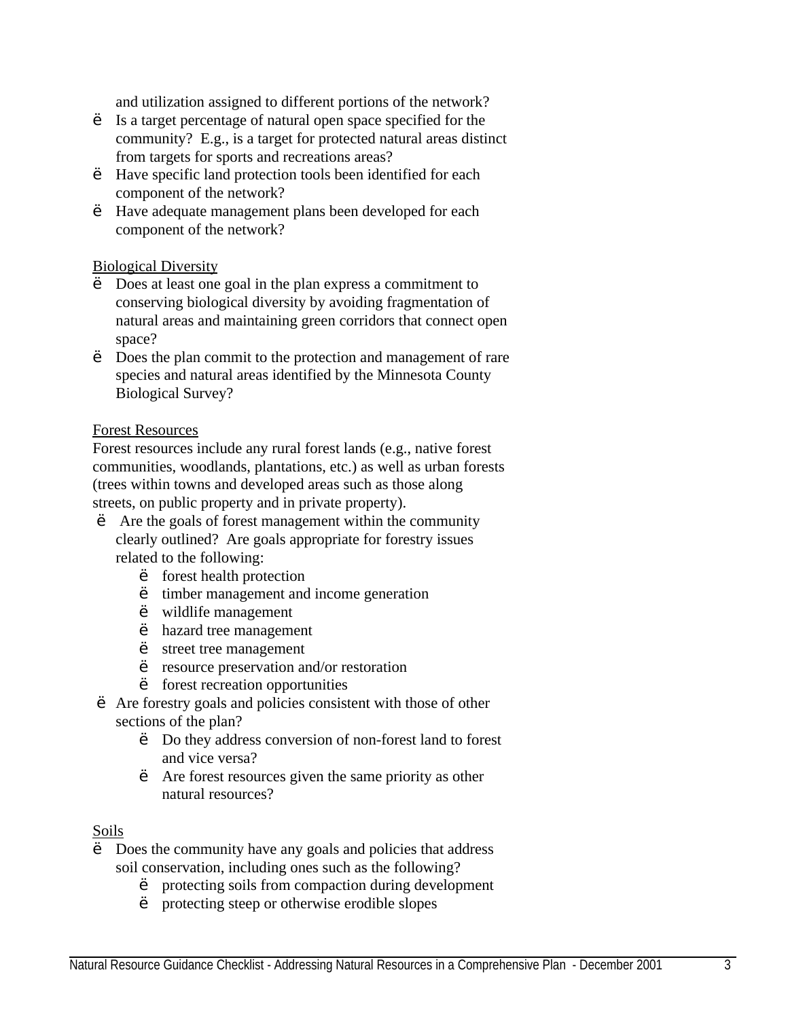and utilization assigned to different portions of the network?

- ' Is a target percentage of natural open space specified for the community? E.g., is a target for protected natural areas distinct from targets for sports and recreations areas?
- ' Have specific land protection tools been identified for each component of the network?
- ' Have adequate management plans been developed for each component of the network?

#### Biological Diversity

- Does at least one goal in the plan express a commitment to conserving biological diversity by avoiding fragmentation of natural areas and maintaining green corridors that connect open space?
- Does the plan commit to the protection and management of rare species and natural areas identified by the Minnesota County Biological Survey?

#### Forest Resources

Forest resources include any rural forest lands (e.g., native forest communities, woodlands, plantations, etc.) as well as urban forests (trees within towns and developed areas such as those along streets, on public property and in private property).

- ' Are the goals of forest management within the community clearly outlined? Are goals appropriate for forestry issues related to the following:
	- ' forest health protection
	- ' timber management and income generation
	- ' wildlife management
	- ' hazard tree management
	- ' street tree management
	- ' resource preservation and/or restoration
	- ' forest recreation opportunities
- ' Are forestry goals and policies consistent with those of other sections of the plan?
	- ' Do they address conversion of non-forest land to forest and vice versa?
	- ' Are forest resources given the same priority as other natural resources?

#### Soils

- Does the community have any goals and policies that address soil conservation, including ones such as the following?
	- ' protecting soils from compaction during development
	- ' protecting steep or otherwise erodible slopes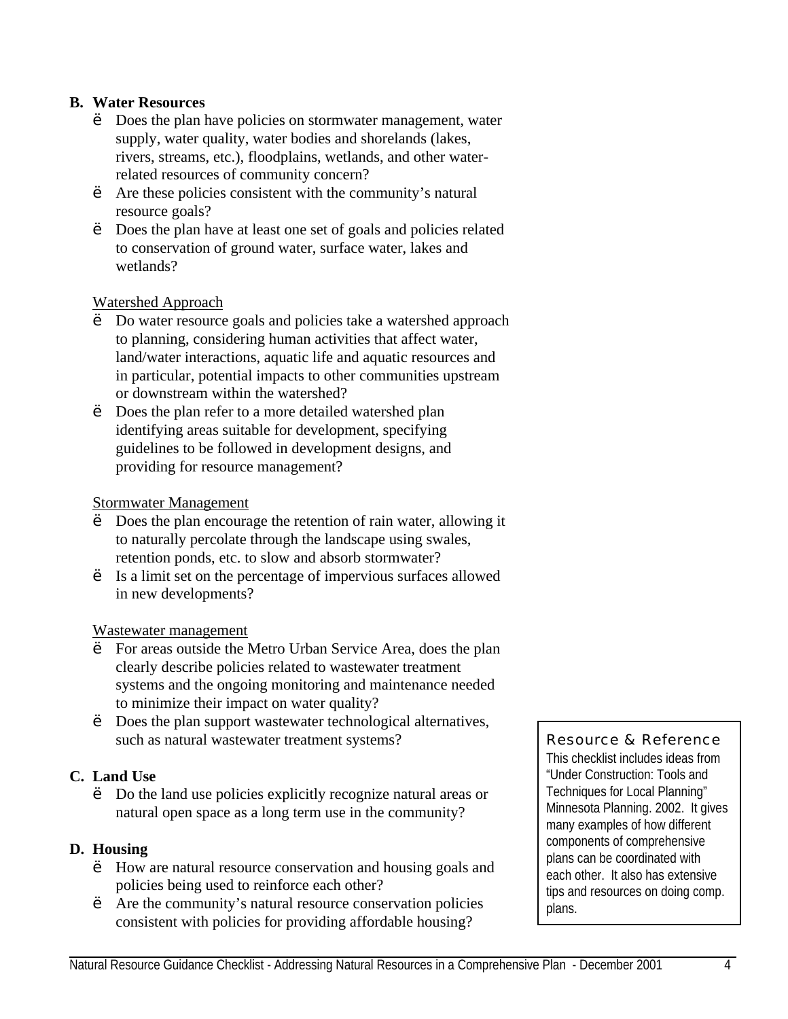### **B. Water Resources**

- Does the plan have policies on stormwater management, water supply, water quality, water bodies and shorelands (lakes, rivers, streams, etc.), floodplains, wetlands, and other waterrelated resources of community concern?
- Are these policies consistent with the community's natural resource goals?
- ' Does the plan have at least one set of goals and policies related to conservation of ground water, surface water, lakes and wetlands?

#### Watershed Approach

- Do water resource goals and policies take a watershed approach to planning, considering human activities that affect water, land/water interactions, aquatic life and aquatic resources and in particular, potential impacts to other communities upstream or downstream within the watershed?
- Does the plan refer to a more detailed watershed plan identifying areas suitable for development, specifying guidelines to be followed in development designs, and providing for resource management?

#### Stormwater Management

- Does the plan encourage the retention of rain water, allowing it to naturally percolate through the landscape using swales, retention ponds, etc. to slow and absorb stormwater?
- ' Is a limit set on the percentage of impervious surfaces allowed in new developments?

#### Wastewater management

- ' For areas outside the Metro Urban Service Area, does the plan clearly describe policies related to wastewater treatment systems and the ongoing monitoring and maintenance needed to minimize their impact on water quality?
- Does the plan support wastewater technological alternatives, such as natural wastewater treatment systems?

#### **C. Land Use**

' Do the land use policies explicitly recognize natural areas or natural open space as a long term use in the community?

#### **D. Housing**

- ' How are natural resource conservation and housing goals and policies being used to reinforce each other?
- Are the community's natural resource conservation policies consistent with policies for providing affordable housing?

#### Resource & Reference

This checklist includes ideas from "Under Construction: Tools and Techniques for Local Planning" Minnesota Planning. 2002. It gives many examples of how different components of comprehensive plans can be coordinated with each other. It also has extensive tips and resources on doing comp. plans.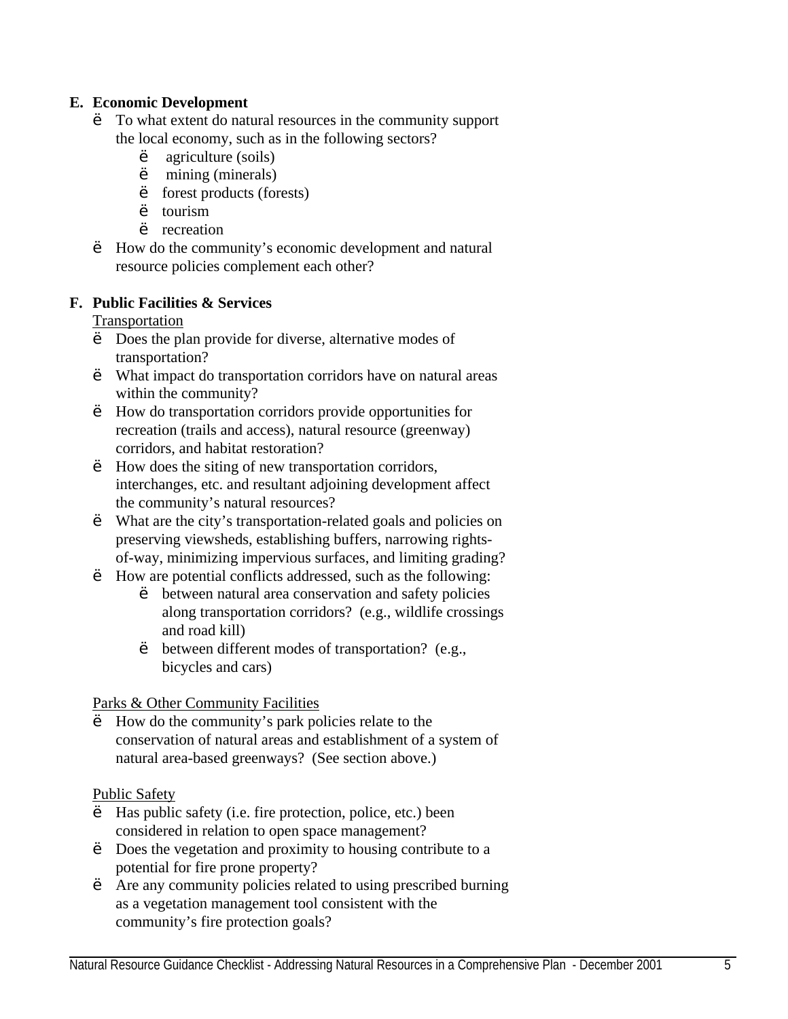### **E. Economic Development**

- To what extent do natural resources in the community support the local economy, such as in the following sectors?
	- agriculture (soils)
	- ' mining (minerals)
	- forest products (forests)
	- ' tourism
	- ' recreation
- ' How do the community's economic development and natural resource policies complement each other?

## **F. Public Facilities & Services**

Transportation

- Does the plan provide for diverse, alternative modes of transportation?
- ' What impact do transportation corridors have on natural areas within the community?
- ' How do transportation corridors provide opportunities for recreation (trails and access), natural resource (greenway) corridors, and habitat restoration?
- ' How does the siting of new transportation corridors, interchanges, etc. and resultant adjoining development affect the community's natural resources?
- ' What are the city's transportation-related goals and policies on preserving viewsheds, establishing buffers, narrowing rightsof-way, minimizing impervious surfaces, and limiting grading?
- ' How are potential conflicts addressed, such as the following:
	- between natural area conservation and safety policies along transportation corridors? (e.g., wildlife crossings and road kill)
	- ' between different modes of transportation? (e.g., bicycles and cars)

Parks & Other Community Facilities

How do the community's park policies relate to the conservation of natural areas and establishment of a system of natural area-based greenways? (See section above.)

#### Public Safety

- Has public safety (i.e. fire protection, police, etc.) been considered in relation to open space management?
- Does the vegetation and proximity to housing contribute to a potential for fire prone property?
- ' Are any community policies related to using prescribed burning as a vegetation management tool consistent with the community's fire protection goals?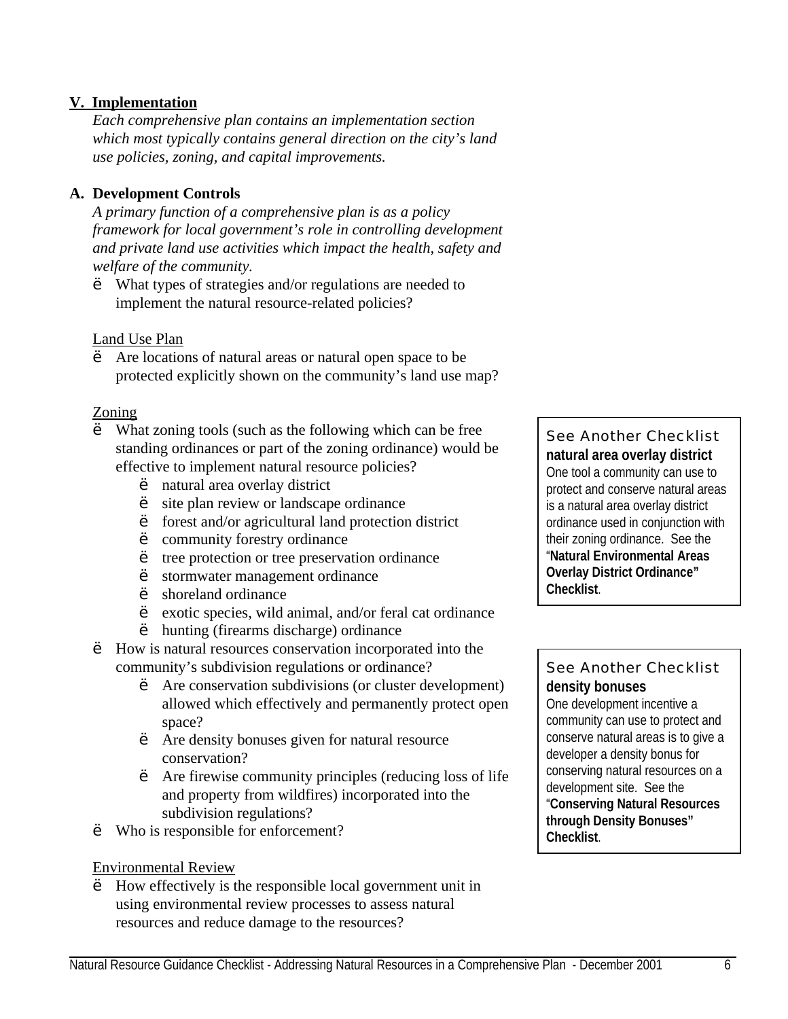### **V. Implementation**

*Each comprehensive plan contains an implementation section which most typically contains general direction on the city's land use policies, zoning, and capital improvements.*

## **A. Development Controls**

*A primary function of a comprehensive plan is as a policy framework for local government's role in controlling development and private land use activities which impact the health, safety and welfare of the community.* 

' What types of strategies and/or regulations are needed to implement the natural resource-related policies?

#### Land Use Plan

Are locations of natural areas or natural open space to be protected explicitly shown on the community's land use map?

#### Zoning

- What zoning tools (such as the following which can be free standing ordinances or part of the zoning ordinance) would be effective to implement natural resource policies?
	- natural area overlay district
	- site plan review or landscape ordinance
	- forest and/or agricultural land protection district
	- ' community forestry ordinance
	- ' tree protection or tree preservation ordinance
	- ' stormwater management ordinance
	- ' shoreland ordinance
	- ' exotic species, wild animal, and/or feral cat ordinance
	- ' hunting (firearms discharge) ordinance
- ' How is natural resources conservation incorporated into the community's subdivision regulations or ordinance?
	- Are conservation subdivisions (or cluster development) allowed which effectively and permanently protect open space?
	- ' Are density bonuses given for natural resource conservation?
	- ' Are firewise community principles (reducing loss of life and property from wildfires) incorporated into the subdivision regulations?
- ' Who is responsible for enforcement?

#### Environmental Review

' How effectively is the responsible local government unit in using environmental review processes to assess natural resources and reduce damage to the resources?

#### See Another Checklist **natural area overlay district**  One tool a community can use to protect and conserve natural areas is a natural area overlay district ordinance used in conjunction with their zoning ordinance. See the "**Natural Environmental Areas Overlay District Ordinance" Checklist**.

# See Another Checklist **density bonuses**

One development incentive a community can use to protect and conserve natural areas is to give a developer a density bonus for conserving natural resources on a development site. See the "**Conserving Natural Resources through Density Bonuses" Checklist**.